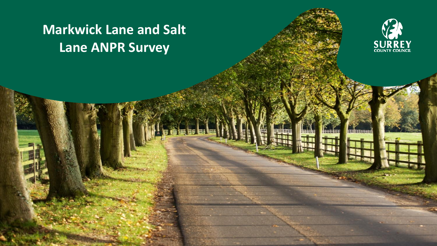# **Markwick Lane and Salt Lane ANPR Survey**

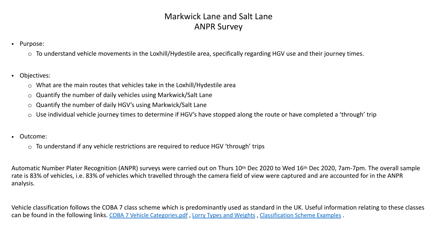#### Markwick Lane and Salt Lane ANPR Survey

- Purpose:
	- $\circ$  To understand vehicle movements in the Loxhill/Hydestile area, specifically regarding HGV use and their journey times.
- Objectives:
	- o What are the main routes that vehicles take in the Loxhill/Hydestile area
	- $\circ$  Quantify the number of daily vehicles using Markwick/Salt Lane
	- $\circ$  Quantify the number of daily HGV's using Markwick/Salt Lane
	- $\circ$  Use individual vehicle journey times to determine if HGV's have stopped along the route or have completed a 'through' trip
- Outcome:
	- $\circ$  To understand if any vehicle restrictions are required to reduce HGV 'through' trips

Automatic Number Plater Recognition (ANPR) surveys were carried out on Thurs 10th Dec 2020 to Wed 16th Dec 2020, 7am-7pm. The overall sample rate is 83% of vehicles, i.e. 83% of vehicles which travelled through the camera field of view were captured and are accounted for in the ANPR analysis.

Vehicle classification follows the COBA 7 class scheme which is predominantly used as standard in the UK. Useful information relating to these classes can be found in the following links. [COBA 7 Vehicle Categories.pdf](https://www.whatdotheyknow.com/request/448049/response/1083592/attach/8/COBA%20Vehicle%20Categories.pdf?cookie_passthrough=1) , [Lorry Types and Weights](https://assets.publishing.service.gov.uk/government/uploads/system/uploads/attachment_data/file/211948/simplified-guide-to-lorry-types-and-weights.pdf) , [Classification Scheme Examples](http://www.videodatapad.com/faq/standard-uk-vehicle-classification) .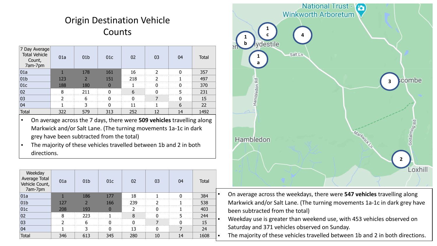### Origin Destination Vehicle **Counts**

| 7 Day Average<br><b>Total Vehicle</b><br>Count,<br>7am-7pm | 01a | 01 <sub>b</sub> | 01c | 02  | 03 | 04 | <b>Total</b> |
|------------------------------------------------------------|-----|-----------------|-----|-----|----|----|--------------|
| 01a                                                        |     | 178             | 161 | 16  | າ  | n  | 357          |
| 01 <sub>b</sub>                                            | 123 |                 | 151 | 218 | 7  |    | 497          |
| 01c                                                        | 188 | 180             | 0   |     | N  | U  | 370          |
| 02                                                         | 8   | 211             | N   | 6   | ŋ  | 5  | 231          |
| 03                                                         | 7   | 6               | n   | n   |    | n  | 15           |
| 04                                                         |     | 3               | 0   | 11  |    | 6  | 22           |
| <b>Total</b>                                               | 322 | 579             | 313 | 252 | 12 | 14 | 1492         |

- On average across the 7 days, there were **509 vehicles** travelling along Markwick and/or Salt Lane. (The turning movements 1a-1c in dark grey have been subtracted from the total)
- The majority of these vehicles travelled between 1b and 2 in both directions.

| Weekday<br>Average Total<br>Vehicle Count,<br>7am-7pm | 01a           | 01 <sub>b</sub> | 01c      | 02  | 03       | 04 | <b>Total</b> |
|-------------------------------------------------------|---------------|-----------------|----------|-----|----------|----|--------------|
| 01a                                                   |               | 186             | 177      | 18  |          | O  | 384          |
| 01 <sub>b</sub>                                       | 127           | $\overline{2}$  | 166      | 239 | າ        |    | 538          |
| 01c                                                   | 208           | 193             | $\bf{0}$ | っ   | 0        |    | 403          |
| 02                                                    | 8             | 223             |          | 8   | $\Omega$ | 5  | 244          |
| 03                                                    | $\mathcal{D}$ | 6               | 0        | ŋ   |          |    | 15           |
| 04                                                    |               | 3               | 0        | 13  | 0        |    | 24           |
| <b>Total</b>                                          | 346           | 613             | 345      | 280 | 10       | 14 | 1608         |



- On average across the weekdays, there were **547 vehicles** travelling along Markwick and/or Salt Lane. (The turning movements 1a-1c in dark grey have been subtracted from the total)
- Weekday use is greater than weekend use, with 453 vehicles observed on Saturday and 371 vehicles observed on Sunday.
	- The majority of these vehicles travelled between 1b and 2 in both directions.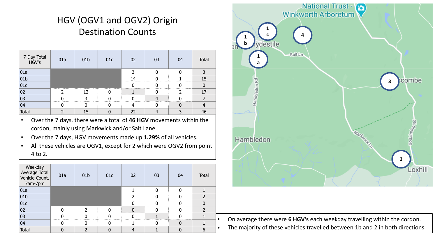# HGV (OGV1 and OGV2) Origin Destination Counts

| 7 Day Total<br>HGV's | 01a | 01 <sub>b</sub> | 01c | 02 | 03 | 04 | Total |
|----------------------|-----|-----------------|-----|----|----|----|-------|
| 01a                  |     |                 |     |    | n  |    | 3     |
| 01 <sub>b</sub>      |     |                 |     | 14 |    |    | 15    |
| 01c                  |     |                 |     |    |    |    | 0     |
| 02                   |     | 12              |     |    |    |    | 17    |
| $ 03\rangle$         |     | っ               |     |    |    |    |       |
| 04                   |     |                 |     |    |    |    |       |
| Total                | 2   | 15              |     | 22 |    |    | 46    |

- Over the 7 days, there were a total of **46 HGV** movements within the cordon, mainly using Markwick and/or Salt Lane.
- Over the 7 days, HGV movements made up **1.29%** of all vehicles.
- All these vehicles are OGV1, except for 2 which were OGV2 from point 4 to 2.

| Weekday<br>Average Total<br>Vehicle Count,<br>7am-7pm | 01a | 01 <sub>b</sub> | 01c | 02 | 03 | 04 | <b>Total</b>   |
|-------------------------------------------------------|-----|-----------------|-----|----|----|----|----------------|
| 01a                                                   |     |                 |     |    |    | n  |                |
| 01 <sub>b</sub>                                       |     |                 |     | ำ  |    |    | 2              |
| 01c                                                   |     |                 |     |    |    |    | $\mathbf{0}$   |
| 02                                                    |     |                 | n   | n  |    |    | $\overline{2}$ |
| 03                                                    |     |                 |     |    |    |    |                |
| 04                                                    |     | N               |     |    | N  |    |                |
| <b>Total</b>                                          | 0   | ำ               |     |    |    |    | 6              |



• On average there were 6 HGV's each weekday travelling within the cordon. The majority of these vehicles travelled between 1b and 2 in both directions.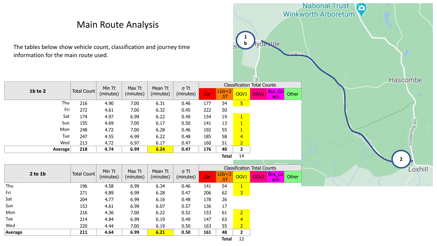|                | The tables below show vehicle count, classification and journey time<br>information for the main route used. |                    |                     | <b>Main Route Analysis</b> |                      |                          |     |                |                  | vdestile<br>calt In                        | <b>National Trust - Pa</b><br>Winkworth Arboretum |
|----------------|--------------------------------------------------------------------------------------------------------------|--------------------|---------------------|----------------------------|----------------------|--------------------------|-----|----------------|------------------|--------------------------------------------|---------------------------------------------------|
|                |                                                                                                              |                    | Min Tt              | Max Tt                     | Mean Tt              | $\sigma$ Tt              |     |                |                  | <b>Classification Total Counts</b>         | Hascombe                                          |
|                | 1b to 2                                                                                                      | Total Count        | (minutes)           | (minutes)                  | (minutes)            | (minutes)                | Car | LGV < 3<br>.5T | OGV <sub>1</sub> | Bus_Co<br>OGV <sub>2</sub><br>Other<br>ach |                                                   |
|                | Thu                                                                                                          | 216                | 4.90                | 7.00                       | 6.31                 | 0.46                     | 177 | 34             | 5 <sub>o</sub>   |                                            |                                                   |
|                | Fri                                                                                                          | 272                | 4.61                | 7.00                       | 6.32                 | 0.45                     | 222 | 50             |                  |                                            |                                                   |
|                | Sat                                                                                                          | 174                | 4.97                | 6.99                       | 6.22                 | 0.49                     | 154 | 19             | $\vert$ 1        |                                            |                                                   |
|                | Sun                                                                                                          | 155                | 4.69                | 7.00                       | 6.17                 | 0.50                     | 141 | 13             | $\vert$ 1        |                                            | Godalming <sub>Rd</sub>                           |
|                | Mon                                                                                                          | 248                | 4.72                | 7.00                       | 6.28                 | 0.46                     | 192 | 55             | $\vert$ 1        |                                            |                                                   |
|                | Tue                                                                                                          | 247                | 4.55                | 6.99                       | 6.22                 | 0.48                     | 185 | 58             | $\overline{4}$   |                                            |                                                   |
|                | Wed                                                                                                          | 213                | 4.72                | 6.97                       | 6.17                 | 0.47                     | 160 | 51             | $\overline{2}$   |                                            |                                                   |
|                | Average                                                                                                      | 218                | 4.74                | 6.99                       | 6.24                 | 0.47                     | 176 | 40             | $\overline{2}$   |                                            |                                                   |
|                |                                                                                                              |                    |                     |                            |                      |                          |     | <b>Total</b>   | 14               |                                            | $\overline{2}$                                    |
|                |                                                                                                              |                    |                     |                            |                      |                          |     |                |                  | <b>Classification Total Counts</b>         | Loxhill                                           |
|                | $2$ to $1b$                                                                                                  | <b>Total Count</b> | Min Tt<br>(minutes) | Max Tt<br>(minutes)        | Mean Tt<br>(minutes) | $\sigma$ Tt<br>(minutes) | Car | LGV < 3<br>.5T | OGV1             | Bus_Co<br>OGV <sub>2</sub><br>Other<br>ach |                                                   |
| Thu            |                                                                                                              | 196                | 4.58                | 6.99                       | 6.34                 | 0.46                     | 141 | 54             | $\vert$ 1        |                                            |                                                   |
| Fri            |                                                                                                              | 271                | 4.89                | 6.99                       | 6.28                 | 0.47                     | 206 | 62             | 3 <sup>2</sup>   |                                            |                                                   |
| Sat            |                                                                                                              | 204                | 4.77                | 6.99                       | 6.16                 | 0.48                     | 178 | 26             |                  |                                            |                                                   |
| Sun            |                                                                                                              | 153                | 4.61                | 6.99                       | 6.07                 | 0.57                     | 136 | 17             |                  |                                            |                                                   |
| Mon            |                                                                                                              | 216                | 4.36                | 7.00                       | 6.22                 | 0.52                     | 153 | 61             | $\overline{2}$   |                                            |                                                   |
| Tue            |                                                                                                              | 214                | 4.84                | 6.99                       | 6.19                 | 0.49                     | 147 | 63             | $\overline{4}$   |                                            |                                                   |
| Wed            |                                                                                                              | 220                | 4.44                | 7.00                       | 6.19                 | 0.50                     | 163 | 55             | $\overline{2}$   |                                            |                                                   |
| <b>Average</b> |                                                                                                              | 211                | 4.64                | 6.99                       | 6.21                 | 0.50                     | 161 | 48             | $\overline{2}$   |                                            |                                                   |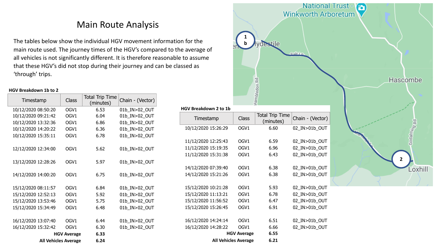#### Main Route Analysis

The tables below show the individual HGV movement information for the main route used. The journey times of the HGV's compared to the average of all vehicles is not significantly different. It is therefore reasonable to assume that these HGV's did not stop during their journey and can be classed as 'through' trips.

#### **HGV Breakdown 1b to 2**

| Timestamp                   | <b>Class</b>       | <b>Total Trip Time</b><br>(minutes) | Chain - (Vector) |
|-----------------------------|--------------------|-------------------------------------|------------------|
| 10/12/2020 08:50:20         | OGV1               | 6.53                                | 01b_IN>02_OUT    |
| 10/12/2020 09:21:42         | OGV1               | 6.04                                | 01b_IN>02_OUT    |
| 10/12/2020 13:32:36         | OGV1               | 6.86                                | 01b_IN>02_OUT    |
| 10/12/2020 14:20:22         | OGV1               | 6.36                                | 01b_IN>02_OUT    |
| 10/12/2020 15:35:11         | OGV1               | 6.78                                | 01b IN>02 OUT    |
|                             |                    |                                     |                  |
| 12/12/2020 12:34:00         | OGV1               | 5.62                                | 01b_IN>02_OUT    |
|                             |                    |                                     |                  |
| 13/12/2020 12:28:26         | OGV1               | 5.97                                | 01b_IN>02_OUT    |
|                             |                    |                                     |                  |
| 14/12/2020 14:00:20         | OGV1               | 6.75                                | 01b_IN>02_OUT    |
|                             |                    |                                     |                  |
| 15/12/2020 08:11:57         | OGV1               | 6.84                                | 01b_IN>02_OUT    |
| 15/12/2020 12:52:13         | OGV1               | 5.92                                | 01b IN>02 OUT    |
| 15/12/2020 13:53:46         | OGV1               | 5.75                                | 01b_IN>02_OUT    |
| 15/12/2020 15:34:49         | OGV1               | 6.48                                | 01b IN>02 OUT    |
|                             |                    |                                     |                  |
| 16/12/2020 13:07:40         | OGV1               | 6.44                                | 01b_IN>02_OUT    |
| 16/12/2020 15:32:42         | OGV1               | 6.30                                | 01b_IN>02_OUT    |
|                             | <b>HGV Average</b> | 6.33                                |                  |
| <b>All Vehicles Average</b> |                    | 6.24                                |                  |